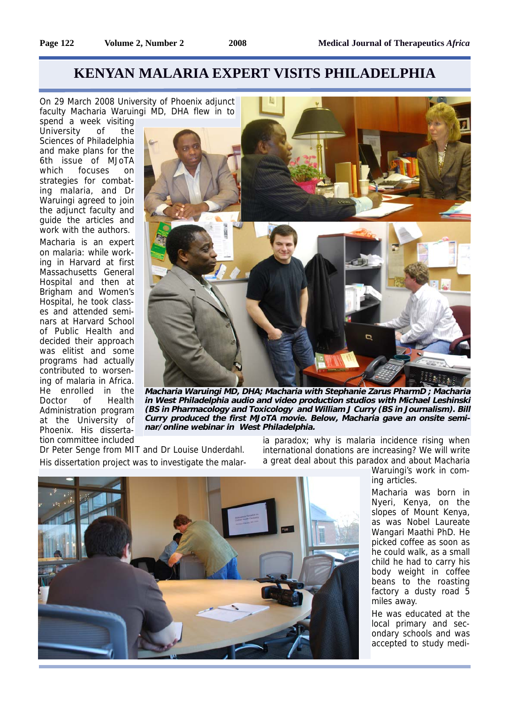## **KENYAN MALARIA EXPERT VISITS PHILADELPHIA**

On 29 March 2008 University of Phoenix adjunct faculty Macharia Waruingi MD, DHA flew in to

spend a week visiting University of the Sciences of Philadelphia and make plans for the 6th issue of MJoTA which focuses on strategies for combating malaria, and Dr Waruingi agreed to join the adjunct faculty and guide the articles and work with the authors.

Macharia is an expert on malaria: while working in Harvard at first Massachusetts General Hospital and then at Brigham and Women's Hospital, he took classes and attended seminars at Harvard School of Public Health and decided their approach was elitist and some programs had actually contributed to worsening of malaria in Africa. He enrolled in the Doctor of Health Administration program at the University of Phoenix. His dissertation committee included



**Macharia Waruingi MD, DHA; Macharia with Stephanie Zarus PharmD ; Macharia in West Philadelphia audio and video production studios with Michael Leshinski (BS in Pharmacology and Toxicology and William J Curry (BS in Journalism). Bill Curry produced the first MJoTA movie. Below, Macharia gave an onsite seminar/online webinar in West Philadelphia.**

Dr Peter Senge from MIT and Dr Louise Underdahl. His dissertation project was to investigate the malaria paradox; why is malaria incidence rising when international donations are increasing? We will write a great deal about this paradox and about Macharia



Waruingi's work in coming articles.

Macharia was born in Nyeri, Kenya, on the slopes of Mount Kenya, as was Nobel Laureate Wangari Maathi PhD. He picked coffee as soon as he could walk, as a small child he had to carry his body weight in coffee beans to the roasting factory a dusty road 5 miles away.

He was educated at the local primary and secondary schools and was accepted to study medi-